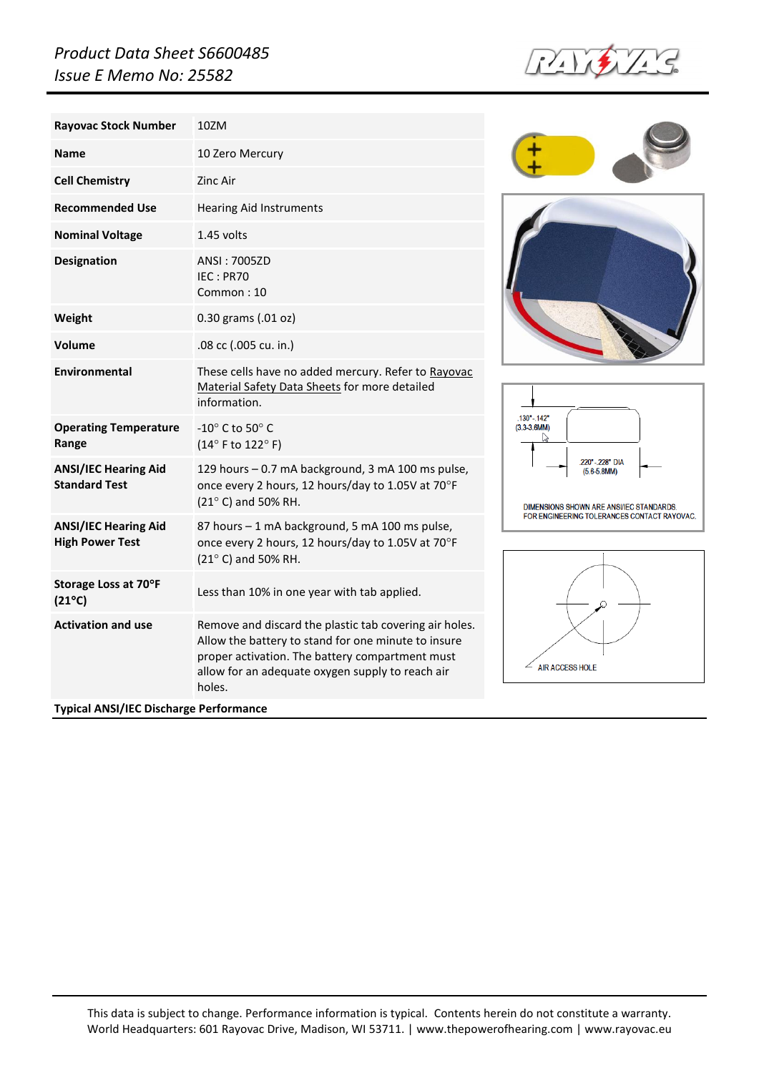## *Product Data Sheet S6600485 Issue E Memo No: 25582*



| <b>Rayovac Stock Number</b>                           | 10ZM                                                                                                                                                                                                                           |
|-------------------------------------------------------|--------------------------------------------------------------------------------------------------------------------------------------------------------------------------------------------------------------------------------|
| <b>Name</b>                                           | 10 Zero Mercury                                                                                                                                                                                                                |
| <b>Cell Chemistry</b>                                 | Zinc Air                                                                                                                                                                                                                       |
| <b>Recommended Use</b>                                | <b>Hearing Aid Instruments</b>                                                                                                                                                                                                 |
| <b>Nominal Voltage</b>                                | $1.45$ volts                                                                                                                                                                                                                   |
| <b>Designation</b>                                    | ANSI: 7005ZD<br>IEC: PR70<br>Common: 10                                                                                                                                                                                        |
| Weight                                                | 0.30 grams (.01 oz)                                                                                                                                                                                                            |
| Volume                                                | .08 cc (.005 cu. in.)                                                                                                                                                                                                          |
| Environmental                                         | These cells have no added mercury. Refer to Rayovac<br>Material Safety Data Sheets for more detailed<br>information.                                                                                                           |
| <b>Operating Temperature</b><br>Range                 | $-10^{\circ}$ C to 50 $^{\circ}$ C<br>$(14^{\circ}$ F to $122^{\circ}$ F)                                                                                                                                                      |
| <b>ANSI/IEC Hearing Aid</b><br><b>Standard Test</b>   | 129 hours - 0.7 mA background, 3 mA 100 ms pulse,<br>once every 2 hours, 12 hours/day to 1.05V at 70°F<br>(21° C) and 50% RH.                                                                                                  |
| <b>ANSI/IEC Hearing Aid</b><br><b>High Power Test</b> | 87 hours - 1 mA background, 5 mA 100 ms pulse,<br>once every 2 hours, 12 hours/day to 1.05V at 70°F<br>(21° C) and 50% RH.                                                                                                     |
| Storage Loss at 70°F<br>$(21^{\circ}C)$               | Less than 10% in one year with tab applied.                                                                                                                                                                                    |
| <b>Activation and use</b>                             | Remove and discard the plastic tab covering air holes.<br>Allow the battery to stand for one minute to insure<br>proper activation. The battery compartment must<br>allow for an adequate oxygen supply to reach air<br>holes. |







 $\angle$  AIR ACCESS HOLE

This data is subject to change. Performance information is typical. Contents herein do not constitute a warranty. World Headquarters: 601 Rayovac Drive, Madison, WI 53711. [| www.thepowerofhearing.com](http://www.thepowerofhearing.com/) [| www.rayovac.eu](http://www.rayovac.eu/)